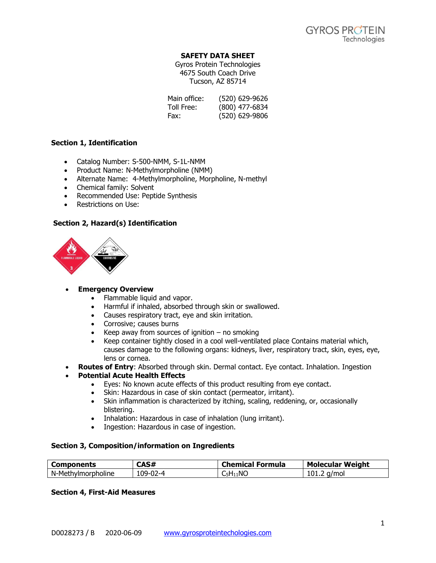## **SAFETY DATA SHEET**

Gyros Protein Technologies 4675 South Coach Drive Tucson, AZ 85714

| Main office: | (520) 629-9626 |
|--------------|----------------|
| Toll Free:   | (800) 477-6834 |
| Fax:         | (520) 629-9806 |

## **Section 1, Identification**

- Catalog Number: S-500-NMM, S-1L-NMM
- Product Name: N-Methylmorpholine (NMM)
- Alternate Name: 4-Methylmorpholine, Morpholine, N-methyl
- Chemical family: Solvent
- Recommended Use: Peptide Synthesis
- Restrictions on Use:

# **Section 2, Hazard(s) Identification**



## • **Emergency Overview**

- Flammable liquid and vapor.
- Harmful if inhaled, absorbed through skin or swallowed.
- Causes respiratory tract, eye and skin irritation.
- Corrosive; causes burns
- Keep away from sources of ignition  $-$  no smoking
- Keep container tightly closed in a cool well-ventilated place Contains material which, causes damage to the following organs: kidneys, liver, respiratory tract, skin, eyes, eye, lens or cornea.
- **Routes of Entry**: Absorbed through skin. Dermal contact. Eye contact. Inhalation. Ingestion
- **Potential Acute Health Effects**
	- Eyes: No known acute effects of this product resulting from eye contact.
	- Skin: Hazardous in case of skin contact (permeator, irritant).
	- Skin inflammation is characterized by itching, scaling, reddening, or, occasionally blistering.
	- Inhalation: Hazardous in case of inhalation (lung irritant).
	- Ingestion: Hazardous in case of ingestion.

## **Section 3, Composition/information on Ingredients**

| <b>Components</b>  | CAS#     | <b>Chemical Formula</b>                           | <b>Molecular Weight</b> |
|--------------------|----------|---------------------------------------------------|-------------------------|
| N-Methylmorpholine | 109-02-4 | $\mathsf{C}_5\mathsf{H}_{11}\mathsf{N}\mathsf{C}$ | 101.2<br>a/mol          |

## **Section 4, First-Aid Measures**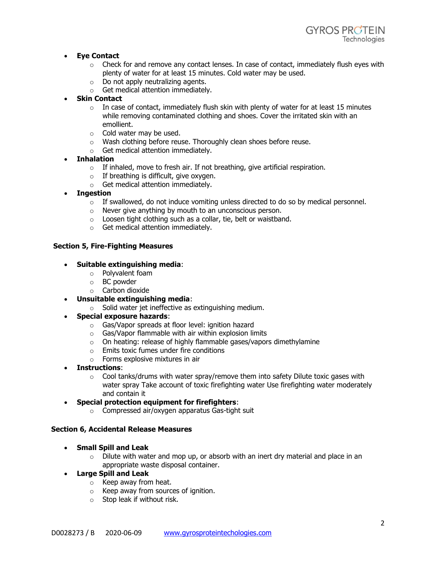# • **Eye Contact**

- $\circ$  Check for and remove any contact lenses. In case of contact, immediately flush eyes with plenty of water for at least 15 minutes. Cold water may be used.
- o Do not apply neutralizing agents.
- o Get medical attention immediately.
- **Skin Contact** 
	- $\circ$  In case of contact, immediately flush skin with plenty of water for at least 15 minutes while removing contaminated clothing and shoes. Cover the irritated skin with an emollient.
	- o Cold water may be used.
	- o Wash clothing before reuse. Thoroughly clean shoes before reuse.
	- o Get medical attention immediately.
- **Inhalation** 
	- $\circ$  If inhaled, move to fresh air. If not breathing, give artificial respiration.
	- $\circ$  If breathing is difficult, give oxygen.
	- o Get medical attention immediately.
- **Ingestion** 
	- $\circ$  If swallowed, do not induce vomiting unless directed to do so by medical personnel.
	- o Never give anything by mouth to an unconscious person.
	- $\circ$  Loosen tight clothing such as a collar, tie, belt or waistband.
	- o Get medical attention immediately.

## **Section 5, Fire-Fighting Measures**

## • **Suitable extinguishing media**:

- o Polyvalent foam
- o BC powder
- o Carbon dioxide
- **Unsuitable extinguishing media**:
	- o Solid water jet ineffective as extinguishing medium.
- **Special exposure hazards**:
	- o Gas/Vapor spreads at floor level: ignition hazard
	- $\circ$  Gas/Vapor flammable with air within explosion limits
	- $\circ$  On heating: release of highly flammable gases/vapors dimethylamine
	- o Emits toxic fumes under fire conditions
	- o Forms explosive mixtures in air
- **Instructions**:
	- $\circ$  Cool tanks/drums with water spray/remove them into safety Dilute toxic gases with water spray Take account of toxic firefighting water Use firefighting water moderately and contain it
- **Special protection equipment for firefighters**:
	- o Compressed air/oxygen apparatus Gas-tight suit

#### **Section 6, Accidental Release Measures**

- **Small Spill and Leak**
	- $\circ$  Dilute with water and mop up, or absorb with an inert dry material and place in an appropriate waste disposal container.
- **Large Spill and Leak**
	- o Keep away from heat.
	- o Keep away from sources of ignition.
	- o Stop leak if without risk.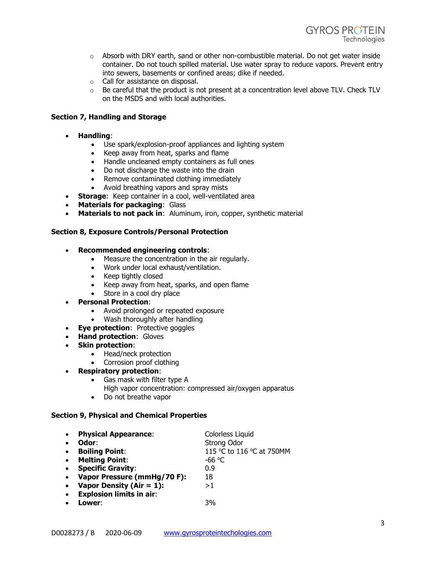- $\circ$  Absorb with DRY earth, sand or other non-combustible material. Do not get water inside container. Do not touch spilled material. Use water spray to reduce vapors. Prevent entry into sewers, basements or confined areas; dike if needed.
- o Call for assistance on disposal.
- $\circ$  Be careful that the product is not present at a concentration level above TLV. Check TLV on the MSDS and with local authorities.

# **Section 7, Handling and Storage**

- **Handling**:
	- Use spark/explosion-proof appliances and lighting system
	- Keep away from heat, sparks and flame
	- Handle uncleaned empty containers as full ones
	- Do not discharge the waste into the drain
	- Remove contaminated clothing immediately
	- Avoid breathing vapors and spray mists
- **Storage**: Keep container in a cool, well-ventilated area
- **Materials for packaging**: Glass
- **Materials to not pack in**: Aluminum, iron, copper, synthetic material

## **Section 8, Exposure Controls/Personal Protection**

- **Recommended engineering controls**:
	- Measure the concentration in the air regularly.
	- Work under local exhaust/ventilation.
	- Keep tightly closed
	- Keep away from heat, sparks, and open flame
	- Store in a cool dry place
- **Personal Protection**:
	- Avoid prolonged or repeated exposure
	- Wash thoroughly after handling
- **Eye protection**: Protective goggles
- **Hand protection**: Gloves
- **Skin protection**:
	- Head/neck protection
	- Corrosion proof clothing
- **Respiratory protection**:
	- Gas mask with filter type A
		- High vapor concentration: compressed air/oxygen apparatus
	- Do not breathe vapor

## **Section 9, Physical and Chemical Properties**

| $\bullet$ | <b>Physical Appearance:</b>     | Colorless Liquid          |
|-----------|---------------------------------|---------------------------|
|           | Odor:                           | <b>Strong Odor</b>        |
| $\bullet$ | <b>Boiling Point:</b>           | 115 °C to 116 °C at 750MM |
| $\bullet$ | <b>Melting Point:</b>           | -66 $\degree$ C           |
| $\bullet$ | <b>Specific Gravity:</b>        | 0.9                       |
| $\bullet$ | Vapor Pressure (mmHg/70 F):     | 18                        |
| $\bullet$ | Vapor Density (Air = $1$ ):     | >1                        |
| $\bullet$ | <b>Explosion limits in air:</b> |                           |
|           | Lower:                          | 3%                        |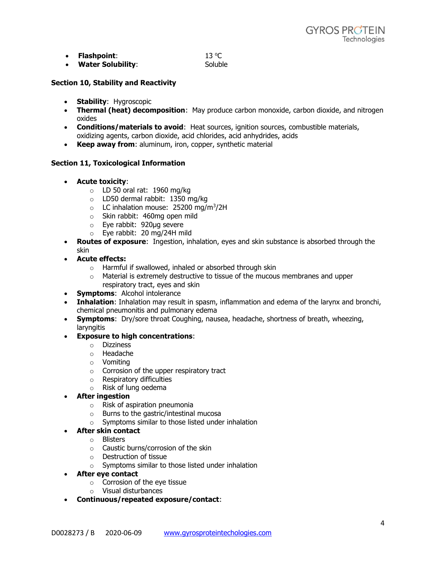| Flashpoint:              | 13 °C   |
|--------------------------|---------|
| <b>Water Solubility:</b> | Soluble |

# **Section 10, Stability and Reactivity**

- **Stability**: Hygroscopic
- **Thermal (heat) decomposition**: May produce carbon monoxide, carbon dioxide, and nitrogen oxides
- **Conditions/materials to avoid**: Heat sources, ignition sources, combustible materials, oxidizing agents, carbon dioxide, acid chlorides, acid anhydrides, acids
- **Keep away from**: aluminum, iron, copper, synthetic material

## **Section 11, Toxicological Information**

- **Acute toxicity**:
	- $\circ$  LD 50 oral rat: 1960 mg/kg
	- o LD50 dermal rabbit: 1350 mg/kg
	- $\circ$  LC inhalation mouse: 25200 mg/m<sup>3</sup>/2H
	- o Skin rabbit: 460mg open mild
	- o Eye rabbit: 920µg severe
	- o Eye rabbit: 20 mg/24H mild
- **Routes of exposure**: Ingestion, inhalation, eyes and skin substance is absorbed through the skin
- **Acute effects:** 
	- o Harmful if swallowed, inhaled or absorbed through skin
	- $\circ$  Material is extremely destructive to tissue of the mucous membranes and upper respiratory tract, eyes and skin
- **Symptoms**: Alcohol intolerance
- **Inhalation**: Inhalation may result in spasm, inflammation and edema of the larynx and bronchi, chemical pneumonitis and pulmonary edema
- **Symptoms**: Dry/sore throat Coughing, nausea, headache, shortness of breath, wheezing, laryngitis

## • **Exposure to high concentrations**:

- o Dizziness
- o Headache
- o Vomiting
- $\circ$  Corrosion of the upper respiratory tract
- o Respiratory difficulties
- o Risk of lung oedema
- **After ingestion**
	- o Risk of aspiration pneumonia
	- o Burns to the gastric/intestinal mucosa
	- o Symptoms similar to those listed under inhalation
- **After skin contact**
	- o Blisters
	- $\circ$  Caustic burns/corrosion of the skin
	- o Destruction of tissue
	- o Symptoms similar to those listed under inhalation
- **After eye contact**
	- $\circ$  Corrosion of the eve tissue
	- o Visual disturbances
- **Continuous/repeated exposure/contact**: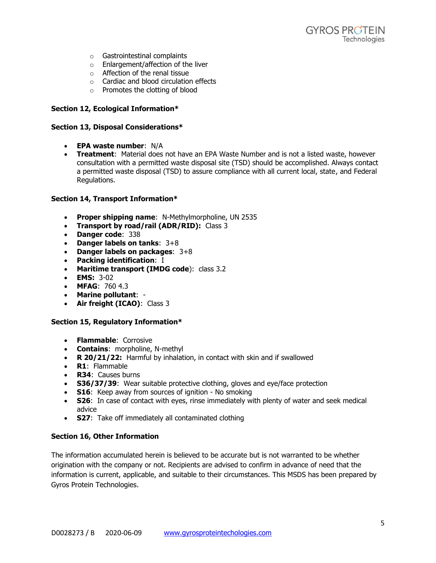- o Gastrointestinal complaints
- o Enlargement/affection of the liver
- o Affection of the renal tissue
- o Cardiac and blood circulation effects
- o Promotes the clotting of blood

#### **Section 12, Ecological Information\***

#### **Section 13, Disposal Considerations\***

- **EPA waste number**: N/A
- **Treatment**: Material does not have an EPA Waste Number and is not a listed waste, however consultation with a permitted waste disposal site (TSD) should be accomplished. Always contact a permitted waste disposal (TSD) to assure compliance with all current local, state, and Federal Regulations.

#### **Section 14, Transport Information\***

- **Proper shipping name**: N-Methylmorpholine, UN 2535
- **Transport by road/rail (ADR/RID):** Class 3
- **Danger code**: 338
- **Danger labels on tanks**: 3+8
- **Danger labels on packages**: 3+8
- **Packing identification**: I
- **Maritime transport (IMDG code**): class 3.2
- **EMS:** 3-02
- **MFAG**: 760 4.3
- **Marine pollutant**: -
- **Air freight (ICAO)**: Class 3

#### **Section 15, Regulatory Information\***

- **Flammable**: Corrosive
- **Contains**: morpholine, N-methyl
- **R 20/21/22:** Harmful by inhalation, in contact with skin and if swallowed
- **R1**: Flammable
- **R34**: Causes burns
- **S36/37/39**: Wear suitable protective clothing, gloves and eye/face protection
- **S16**: Keep away from sources of ignition No smoking
- **S26**: In case of contact with eyes, rinse immediately with plenty of water and seek medical advice
- **S27**: Take off immediately all contaminated clothing

## **Section 16, Other Information**

The information accumulated herein is believed to be accurate but is not warranted to be whether origination with the company or not. Recipients are advised to confirm in advance of need that the information is current, applicable, and suitable to their circumstances. This MSDS has been prepared by Gyros Protein Technologies.